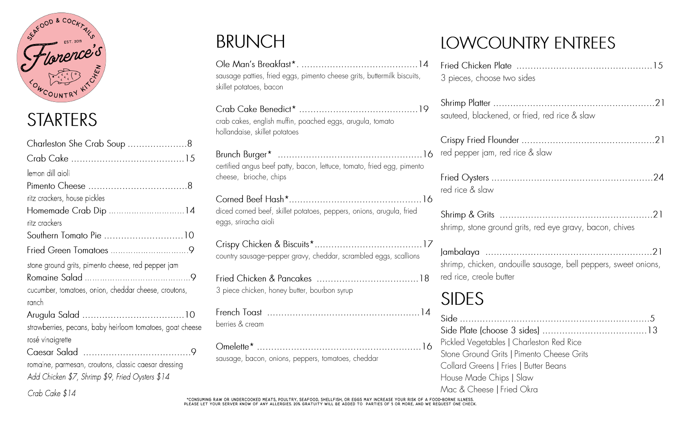

#### **STARTERS**

Crab Cake \$14

| Charleston She Crab Soup 8                                |
|-----------------------------------------------------------|
|                                                           |
| lemon dill aioli                                          |
|                                                           |
| ritz crackers, house pickles                              |
| Homemade Crab Dip 14                                      |
| ritz crackers                                             |
| Southern Tomato Pie 10                                    |
|                                                           |
| stone ground grits, pimento cheese, red pepper jam        |
|                                                           |
| cucumber, tomatoes, onion, cheddar cheese, croutons,      |
| ranch                                                     |
|                                                           |
| strawberries, pecans, baby heirloom tomatoes, goat cheese |
| rosé vinaigrette                                          |
|                                                           |
| romaine, parmesan, croutons, classic caesar dressing      |
| Add Chicken \$7, Shrimp \$9, Fried Oysters \$14           |

## **BRUNCH**

sausage patties, fried eggs, pimento cheese grits, buttermilk biscuits, skillet potatoes, bacon

| crab cakes, english muffin, poached eggs, arugula, tomato<br>hollandaise, skillet potatoes       |
|--------------------------------------------------------------------------------------------------|
| certified angus beef patty, bacon, lettuce, tomato, fried egg, pimento<br>cheese, brioche, chips |
| diced corned beef, skillet potatoes, peppers, onions, arugula, fried<br>eggs, sriracha aioli     |
| country sausage-pepper gravy, cheddar, scrambled eggs, scallions                                 |
|                                                                                                  |

3 piece chicken, honey butter, bourbon syrup

| perries & cream |  |
|-----------------|--|

sausage, bacon, onions, peppers, tomatoes, cheddar

#### **LOWCOUNTRY ENTREES**

| 3 pieces, choose two sides                                                                                                                                                             |
|----------------------------------------------------------------------------------------------------------------------------------------------------------------------------------------|
| sauteed, blackened, or fried, red rice & slaw                                                                                                                                          |
| red pepper jam, red rice & slaw                                                                                                                                                        |
| red rice & slaw                                                                                                                                                                        |
| shrimp, stone ground grits, red eye gravy, bacon, chives                                                                                                                               |
| shrimp, chicken, andouille sausage, bell peppers, sweet onions,<br>red rice, creole butter                                                                                             |
| <b>SIDES</b>                                                                                                                                                                           |
| Pickled Vegetables   Charleston Red Rice<br>Stone Ground Grits   Pimento Cheese Grits<br>Collard Greens   Fries   Butter Beans<br>House Made Chips   Slaw<br>Mac & Cheese   Fried Okra |

\*CONSUMING RAW OR UNDERCOOKED MEATS, POULTRY, SEAFOOD, SHELLFISH, OR EGGS MAY INCREASE YOUR RISK OF A FOOD-BORNE ILLNESS.<br>PLEASE LET YOUR SERVER KNOW OF ANY ALLERGIES. 20% GRATUITY WILL BE ADDED TO PARTIES OF 5 OR MORE, AN